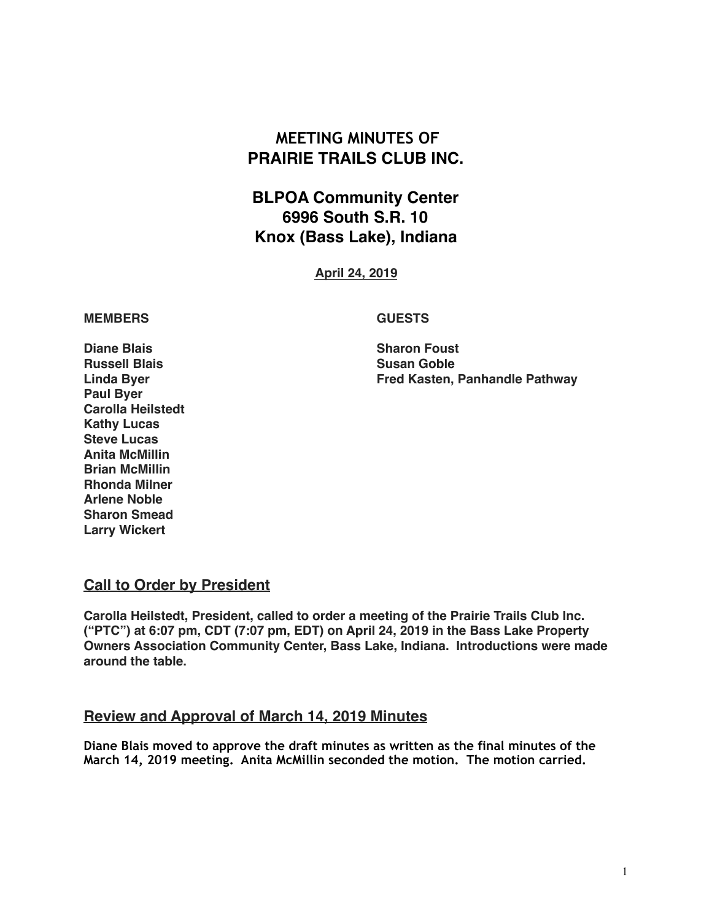# **MEETING MINUTES OF PRAIRIE TRAILS CLUB INC.**

# **BLPOA Community Center 6996 South S.R. 10 Knox (Bass Lake), Indiana**

**April 24, 2019**

#### **MEMBERS GUESTS**

**Linda Byer Fred Kasten, Panhandle Pathway**

**Diane Blais** Sharon Foust **Russell Blais Susan Goble Paul Byer Carolla Heilstedt Kathy Lucas Steve Lucas Anita McMillin Brian McMillin Rhonda Milner Arlene Noble Sharon Smead Larry Wickert**

#### **Call to Order by President**

**Carolla Heilstedt, President, called to order a meeting of the Prairie Trails Club Inc. ("PTC") at 6:07 pm, CDT (7:07 pm, EDT) on April 24, 2019 in the Bass Lake Property Owners Association Community Center, Bass Lake, Indiana. Introductions were made around the table.**

## **Review and Approval of March 14, 2019 Minutes**

**Diane Blais moved to approve the draft minutes as written as the final minutes of the March 14, 2019 meeting. Anita McMillin seconded the motion. The motion carried.**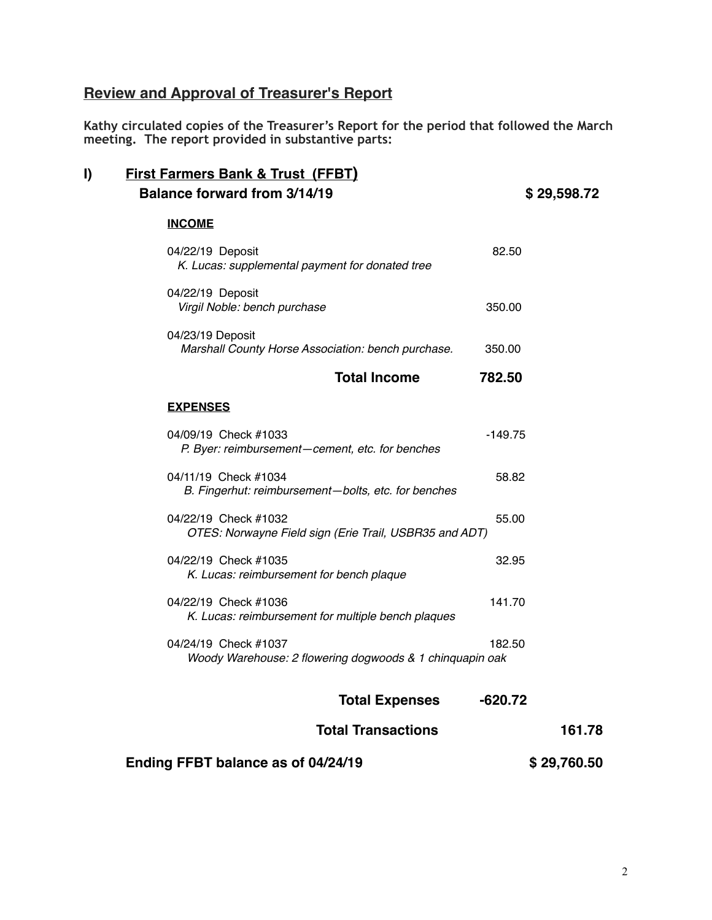# **Review and Approval of Treasurer's Report**

**Kathy circulated copies of the Treasurer's Report for the period that followed the March meeting. The report provided in substantive parts:** 

| I) | <b>First Farmers Bank &amp; Trust (FFBT)</b><br><b>Balance forward from 3/14/19</b> |           | \$29,598.72 |
|----|-------------------------------------------------------------------------------------|-----------|-------------|
|    | <b>INCOME</b>                                                                       |           |             |
|    | 04/22/19 Deposit<br>K. Lucas: supplemental payment for donated tree                 | 82.50     |             |
|    | 04/22/19 Deposit<br>Virgil Noble: bench purchase                                    | 350.00    |             |
|    | 04/23/19 Deposit<br>Marshall County Horse Association: bench purchase.              | 350.00    |             |
|    | <b>Total Income</b>                                                                 | 782.50    |             |
|    | <b>EXPENSES</b>                                                                     |           |             |
|    | 04/09/19 Check #1033<br>P. Byer: reimbursement-cement, etc. for benches             | $-149.75$ |             |
|    | 04/11/19 Check #1034<br>B. Fingerhut: reimbursement-bolts, etc. for benches         | 58.82     |             |
|    | 04/22/19 Check #1032<br>OTES: Norwayne Field sign (Erie Trail, USBR35 and ADT)      | 55.00     |             |
|    | 04/22/19 Check #1035<br>K. Lucas: reimbursement for bench plaque                    | 32.95     |             |
|    | 04/22/19 Check #1036<br>K. Lucas: reimbursement for multiple bench plaques          | 141.70    |             |
|    | 04/24/19 Check #1037<br>Woody Warehouse: 2 flowering dogwoods & 1 chinquapin oak    | 182.50    |             |
|    | <b>Total Expenses</b>                                                               | $-620.72$ |             |
|    | <b>Total Transactions</b>                                                           |           | 161.78      |
|    | Ending FFBT balance as of 04/24/19                                                  |           | \$29,760.50 |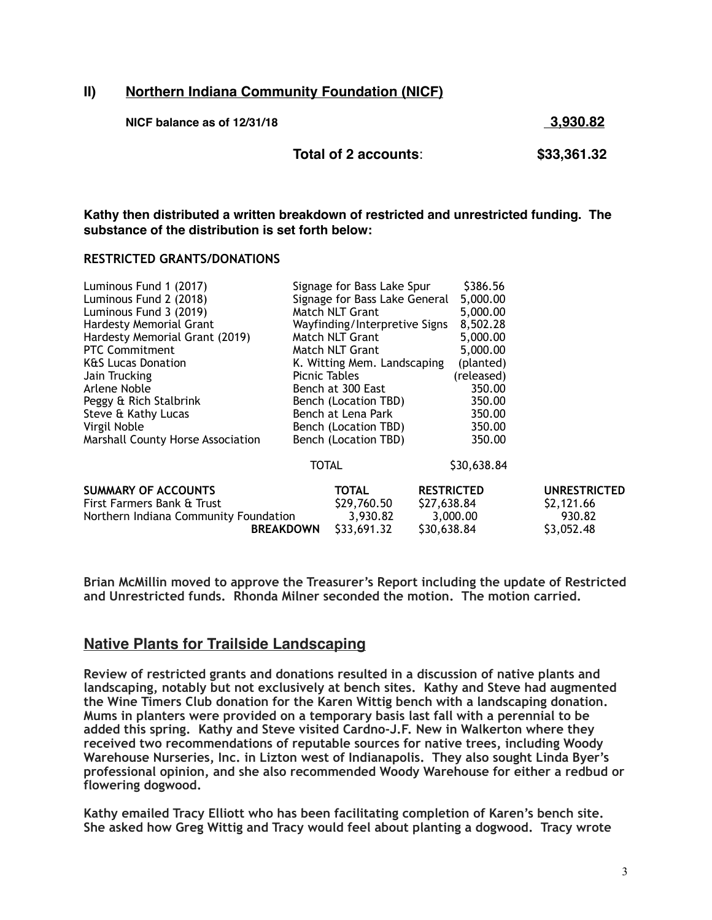#### **II) Northern Indiana Community Foundation (NICF)**

| NICF balance as of 12/31/18 |                      | 3,930.82    |  |
|-----------------------------|----------------------|-------------|--|
|                             | Total of 2 accounts: | \$33,361.32 |  |

**Kathy then distributed a written breakdown of restricted and unrestricted funding. The substance of the distribution is set forth below:**

#### **RESTRICTED GRANTS/DONATIONS**

| <b>UNRESTRICTED</b> |
|---------------------|
|                     |
|                     |
|                     |
|                     |

**Brian McMillin moved to approve the Treasurer's Report including the update of Restricted and Unrestricted funds. Rhonda Milner seconded the motion. The motion carried.** 

#### **Native Plants for Trailside Landscaping**

**Review of restricted grants and donations resulted in a discussion of native plants and landscaping, notably but not exclusively at bench sites. Kathy and Steve had augmented the Wine Timers Club donation for the Karen Wittig bench with a landscaping donation. Mums in planters were provided on a temporary basis last fall with a perennial to be added this spring. Kathy and Steve visited Cardno-J.F. New in Walkerton where they received two recommendations of reputable sources for native trees, including Woody Warehouse Nurseries, Inc. in Lizton west of Indianapolis. They also sought Linda Byer's professional opinion, and she also recommended Woody Warehouse for either a redbud or flowering dogwood.** 

**Kathy emailed Tracy Elliott who has been facilitating completion of Karen's bench site. She asked how Greg Wittig and Tracy would feel about planting a dogwood. Tracy wrote**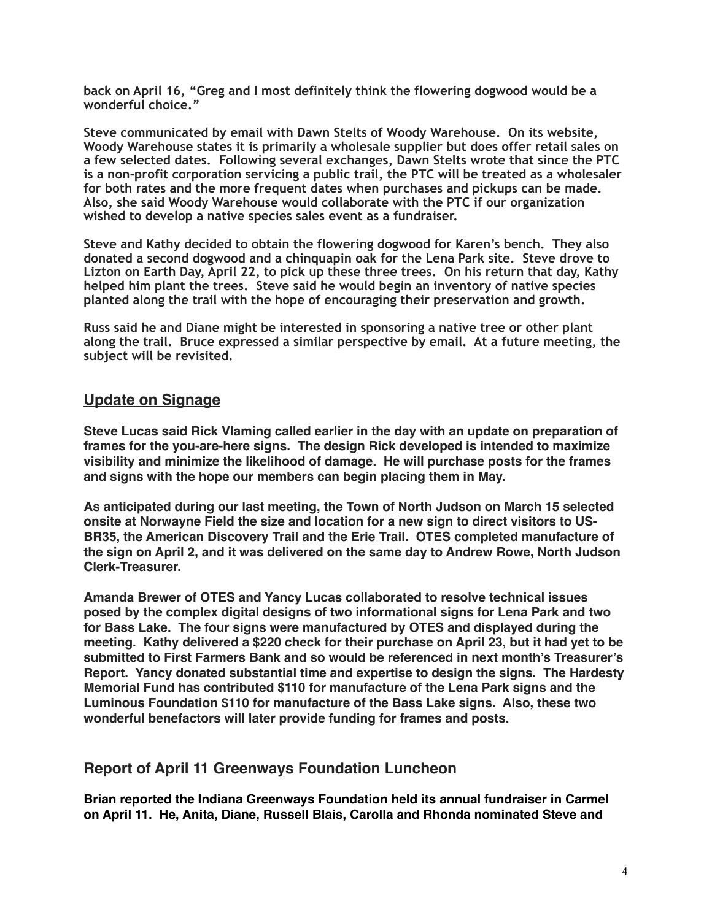**back on April 16, "Greg and I most definitely think the flowering dogwood would be a wonderful choice."** 

**Steve communicated by email with Dawn Stelts of Woody Warehouse. On its website, Woody Warehouse states it is primarily a wholesale supplier but does offer retail sales on a few selected dates. Following several exchanges, Dawn Stelts wrote that since the PTC is a non-profit corporation servicing a public trail, the PTC will be treated as a wholesaler for both rates and the more frequent dates when purchases and pickups can be made. Also, she said Woody Warehouse would collaborate with the PTC if our organization wished to develop a native species sales event as a fundraiser.** 

**Steve and Kathy decided to obtain the flowering dogwood for Karen's bench. They also donated a second dogwood and a chinquapin oak for the Lena Park site. Steve drove to Lizton on Earth Day, April 22, to pick up these three trees. On his return that day, Kathy helped him plant the trees. Steve said he would begin an inventory of native species planted along the trail with the hope of encouraging their preservation and growth.** 

**Russ said he and Diane might be interested in sponsoring a native tree or other plant along the trail. Bruce expressed a similar perspective by email. At a future meeting, the subject will be revisited.** 

#### **Update on Signage**

**Steve Lucas said Rick Vlaming called earlier in the day with an update on preparation of frames for the you-are-here signs. The design Rick developed is intended to maximize visibility and minimize the likelihood of damage. He will purchase posts for the frames and signs with the hope our members can begin placing them in May.**

**As anticipated during our last meeting, the Town of North Judson on March 15 selected onsite at Norwayne Field the size and location for a new sign to direct visitors to US-BR35, the American Discovery Trail and the Erie Trail. OTES completed manufacture of the sign on April 2, and it was delivered on the same day to Andrew Rowe, North Judson Clerk-Treasurer.** 

**Amanda Brewer of OTES and Yancy Lucas collaborated to resolve technical issues posed by the complex digital designs of two informational signs for Lena Park and two for Bass Lake. The four signs were manufactured by OTES and displayed during the meeting. Kathy delivered a \$220 check for their purchase on April 23, but it had yet to be submitted to First Farmers Bank and so would be referenced in next month's Treasurer's Report. Yancy donated substantial time and expertise to design the signs. The Hardesty Memorial Fund has contributed \$110 for manufacture of the Lena Park signs and the Luminous Foundation \$110 for manufacture of the Bass Lake signs. Also, these two wonderful benefactors will later provide funding for frames and posts.**

#### **Report of April 11 Greenways Foundation Luncheon**

**Brian reported the Indiana Greenways Foundation held its annual fundraiser in Carmel on April 11. He, Anita, Diane, Russell Blais, Carolla and Rhonda nominated Steve and**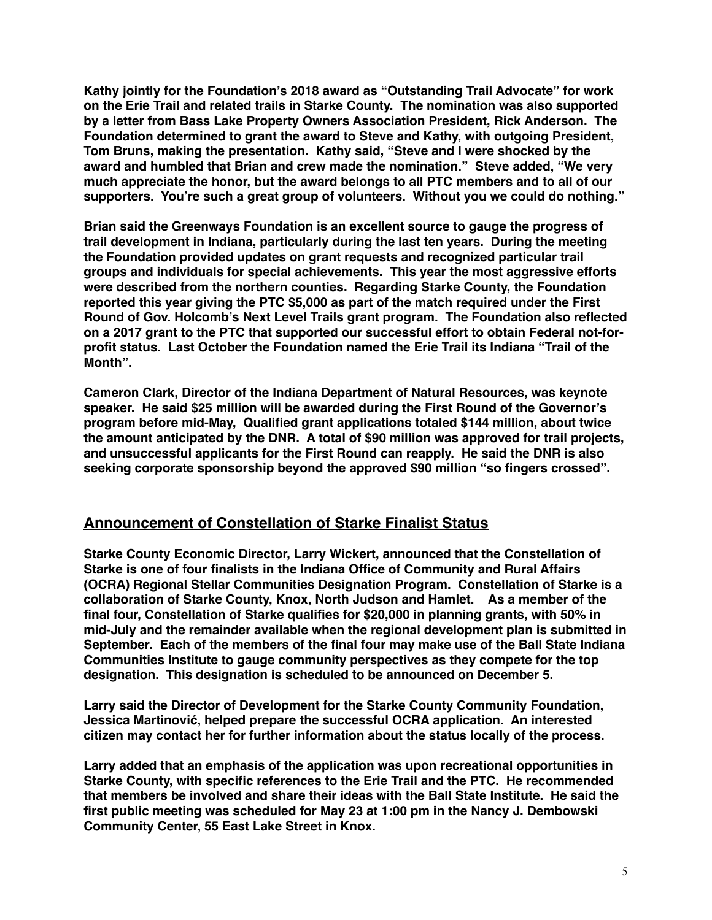**Kathy jointly for the Foundation's 2018 award as "Outstanding Trail Advocate" for work on the Erie Trail and related trails in Starke County. The nomination was also supported by a letter from Bass Lake Property Owners Association President, Rick Anderson. The Foundation determined to grant the award to Steve and Kathy, with outgoing President, Tom Bruns, making the presentation. Kathy said, "Steve and I were shocked by the award and humbled that Brian and crew made the nomination." Steve added, "We very much appreciate the honor, but the award belongs to all PTC members and to all of our supporters. You're such a great group of volunteers. Without you we could do nothing."**

**Brian said the Greenways Foundation is an excellent source to gauge the progress of trail development in Indiana, particularly during the last ten years. During the meeting the Foundation provided updates on grant requests and recognized particular trail groups and individuals for special achievements. This year the most aggressive efforts were described from the northern counties. Regarding Starke County, the Foundation reported this year giving the PTC \$5,000 as part of the match required under the First Round of Gov. Holcomb's Next Level Trails grant program. The Foundation also reflected on a 2017 grant to the PTC that supported our successful effort to obtain Federal not-forprofit status. Last October the Foundation named the Erie Trail its Indiana "Trail of the Month".**

**Cameron Clark, Director of the Indiana Department of Natural Resources, was keynote speaker. He said \$25 million will be awarded during the First Round of the Governor's program before mid-May, Qualified grant applications totaled \$144 million, about twice the amount anticipated by the DNR. A total of \$90 million was approved for trail projects, and unsuccessful applicants for the First Round can reapply. He said the DNR is also seeking corporate sponsorship beyond the approved \$90 million "so fingers crossed".**

#### **Announcement of Constellation of Starke Finalist Status**

**Starke County Economic Director, Larry Wickert, announced that the Constellation of Starke is one of four finalists in the Indiana Office of Community and Rural Affairs (OCRA) Regional Stellar Communities Designation Program. Constellation of Starke is a collaboration of Starke County, Knox, North Judson and Hamlet. As a member of the final four, Constellation of Starke qualifies for \$20,000 in planning grants, with 50% in mid-July and the remainder available when the regional development plan is submitted in September. Each of the members of the final four may make use of the Ball State Indiana Communities Institute to gauge community perspectives as they compete for the top designation. This designation is scheduled to be announced on December 5.**

**Larry said the Director of Development for the Starke County Community Foundation, Jessica Martinović, helped prepare the successful OCRA application. An interested citizen may contact her for further information about the status locally of the process.**

**Larry added that an emphasis of the application was upon recreational opportunities in Starke County, with specific references to the Erie Trail and the PTC. He recommended that members be involved and share their ideas with the Ball State Institute. He said the first public meeting was scheduled for May 23 at 1:00 pm in the Nancy J. Dembowski Community Center, 55 East Lake Street in Knox.**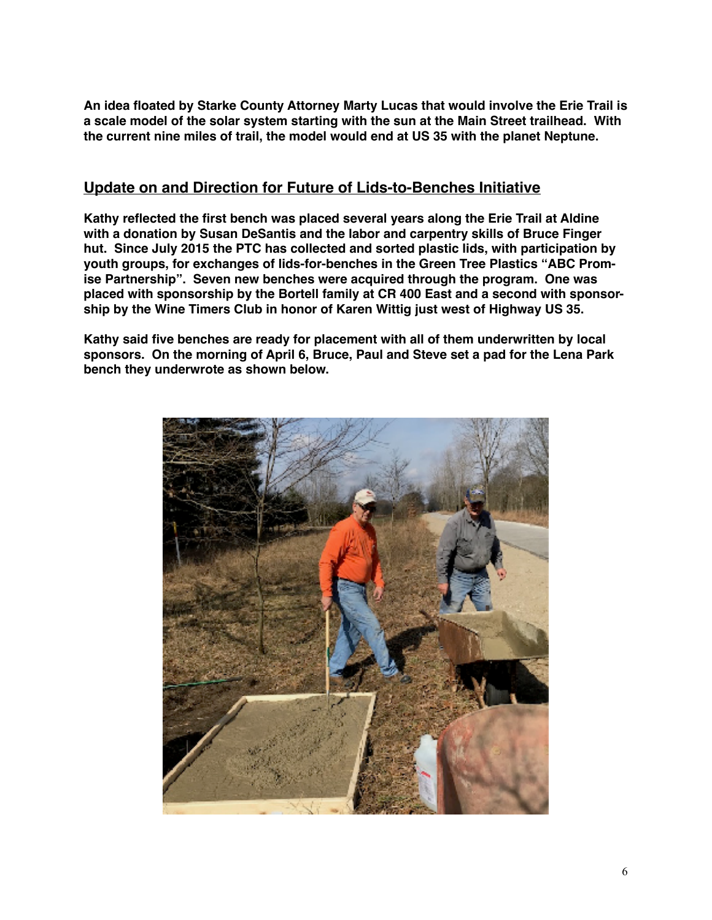**An idea floated by Starke County Attorney Marty Lucas that would involve the Erie Trail is a scale model of the solar system starting with the sun at the Main Street trailhead. With the current nine miles of trail, the model would end at US 35 with the planet Neptune.**

#### **Update on and Direction for Future of Lids-to-Benches Initiative**

**Kathy reflected the first bench was placed several years along the Erie Trail at Aldine with a donation by Susan DeSantis and the labor and carpentry skills of Bruce Finger hut. Since July 2015 the PTC has collected and sorted plastic lids, with participation by youth groups, for exchanges of lids-for-benches in the Green Tree Plastics "ABC Promise Partnership". Seven new benches were acquired through the program. One was placed with sponsorship by the Bortell family at CR 400 East and a second with sponsorship by the Wine Timers Club in honor of Karen Wittig just west of Highway US 35.**

**Kathy said five benches are ready for placement with all of them underwritten by local sponsors. On the morning of April 6, Bruce, Paul and Steve set a pad for the Lena Park bench they underwrote as shown below.**

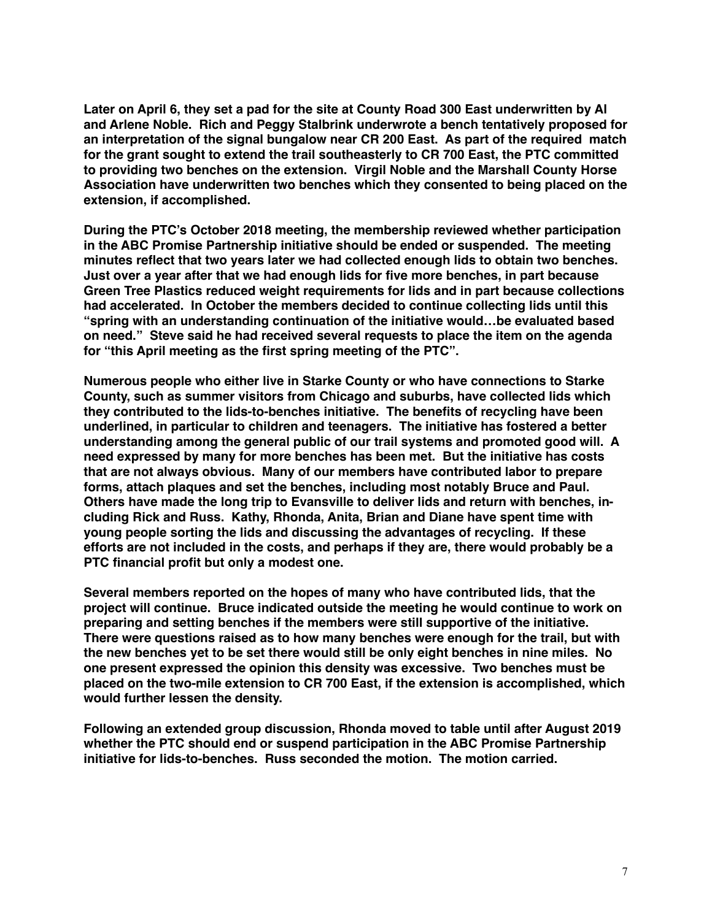**Later on April 6, they set a pad for the site at County Road 300 East underwritten by Al and Arlene Noble. Rich and Peggy Stalbrink underwrote a bench tentatively proposed for an interpretation of the signal bungalow near CR 200 East. As part of the required match for the grant sought to extend the trail southeasterly to CR 700 East, the PTC committed to providing two benches on the extension. Virgil Noble and the Marshall County Horse Association have underwritten two benches which they consented to being placed on the extension, if accomplished.** 

**During the PTC's October 2018 meeting, the membership reviewed whether participation in the ABC Promise Partnership initiative should be ended or suspended. The meeting minutes reflect that two years later we had collected enough lids to obtain two benches. Just over a year after that we had enough lids for five more benches, in part because Green Tree Plastics reduced weight requirements for lids and in part because collections had accelerated. In October the members decided to continue collecting lids until this "spring with an understanding continuation of the initiative would…be evaluated based on need." Steve said he had received several requests to place the item on the agenda for "this April meeting as the first spring meeting of the PTC".**

**Numerous people who either live in Starke County or who have connections to Starke County, such as summer visitors from Chicago and suburbs, have collected lids which they contributed to the lids-to-benches initiative. The benefits of recycling have been underlined, in particular to children and teenagers. The initiative has fostered a better understanding among the general public of our trail systems and promoted good will. A need expressed by many for more benches has been met. But the initiative has costs that are not always obvious. Many of our members have contributed labor to prepare forms, attach plaques and set the benches, including most notably Bruce and Paul. Others have made the long trip to Evansville to deliver lids and return with benches, including Rick and Russ. Kathy, Rhonda, Anita, Brian and Diane have spent time with young people sorting the lids and discussing the advantages of recycling. If these efforts are not included in the costs, and perhaps if they are, there would probably be a PTC financial profit but only a modest one.**

**Several members reported on the hopes of many who have contributed lids, that the project will continue. Bruce indicated outside the meeting he would continue to work on preparing and setting benches if the members were still supportive of the initiative. There were questions raised as to how many benches were enough for the trail, but with the new benches yet to be set there would still be only eight benches in nine miles. No one present expressed the opinion this density was excessive. Two benches must be placed on the two-mile extension to CR 700 East, if the extension is accomplished, which would further lessen the density.** 

**Following an extended group discussion, Rhonda moved to table until after August 2019 whether the PTC should end or suspend participation in the ABC Promise Partnership initiative for lids-to-benches. Russ seconded the motion. The motion carried.**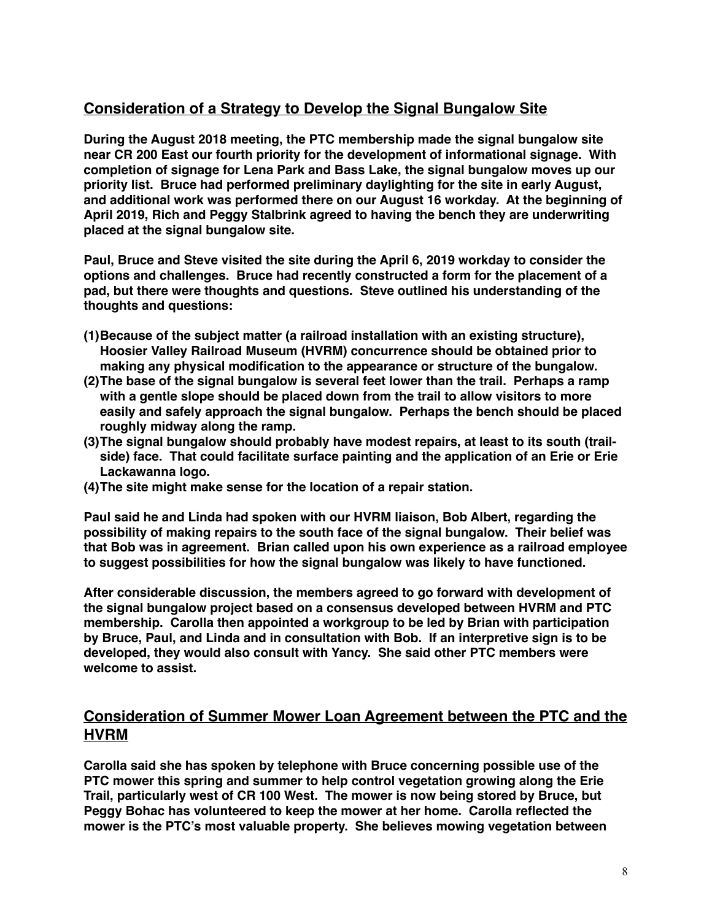#### **Consideration of a Strategy to Develop the Signal Bungalow Site**

**During the August 2018 meeting, the PTC membership made the signal bungalow site near CR 200 East our fourth priority for the development of informational signage. With completion of signage for Lena Park and Bass Lake, the signal bungalow moves up our priority list. Bruce had performed preliminary daylighting for the site in early August, and additional work was performed there on our August 16 workday. At the beginning of April 2019, Rich and Peggy Stalbrink agreed to having the bench they are underwriting placed at the signal bungalow site.**

**Paul, Bruce and Steve visited the site during the April 6, 2019 workday to consider the options and challenges. Bruce had recently constructed a form for the placement of a pad, but there were thoughts and questions. Steve outlined his understanding of the thoughts and questions:**

- **(1)Because of the subject matter (a railroad installation with an existing structure), Hoosier Valley Railroad Museum (HVRM) concurrence should be obtained prior to making any physical modification to the appearance or structure of the bungalow.**
- **(2)The base of the signal bungalow is several feet lower than the trail. Perhaps a ramp with a gentle slope should be placed down from the trail to allow visitors to more easily and safely approach the signal bungalow. Perhaps the bench should be placed roughly midway along the ramp.**
- **(3)The signal bungalow should probably have modest repairs, at least to its south (trailside) face. That could facilitate surface painting and the application of an Erie or Erie Lackawanna logo.**
- **(4)The site might make sense for the location of a repair station.**

**Paul said he and Linda had spoken with our HVRM liaison, Bob Albert, regarding the possibility of making repairs to the south face of the signal bungalow. Their belief was that Bob was in agreement. Brian called upon his own experience as a railroad employee to suggest possibilities for how the signal bungalow was likely to have functioned.**

**After considerable discussion, the members agreed to go forward with development of the signal bungalow project based on a consensus developed between HVRM and PTC membership. Carolla then appointed a workgroup to be led by Brian with participation by Bruce, Paul, and Linda and in consultation with Bob. If an interpretive sign is to be developed, they would also consult with Yancy. She said other PTC members were welcome to assist.**

#### **Consideration of Summer Mower Loan Agreement between the PTC and the HVRM**

**Carolla said she has spoken by telephone with Bruce concerning possible use of the PTC mower this spring and summer to help control vegetation growing along the Erie Trail, particularly west of CR 100 West. The mower is now being stored by Bruce, but Peggy Bohac has volunteered to keep the mower at her home. Carolla reflected the mower is the PTC's most valuable property. She believes mowing vegetation between**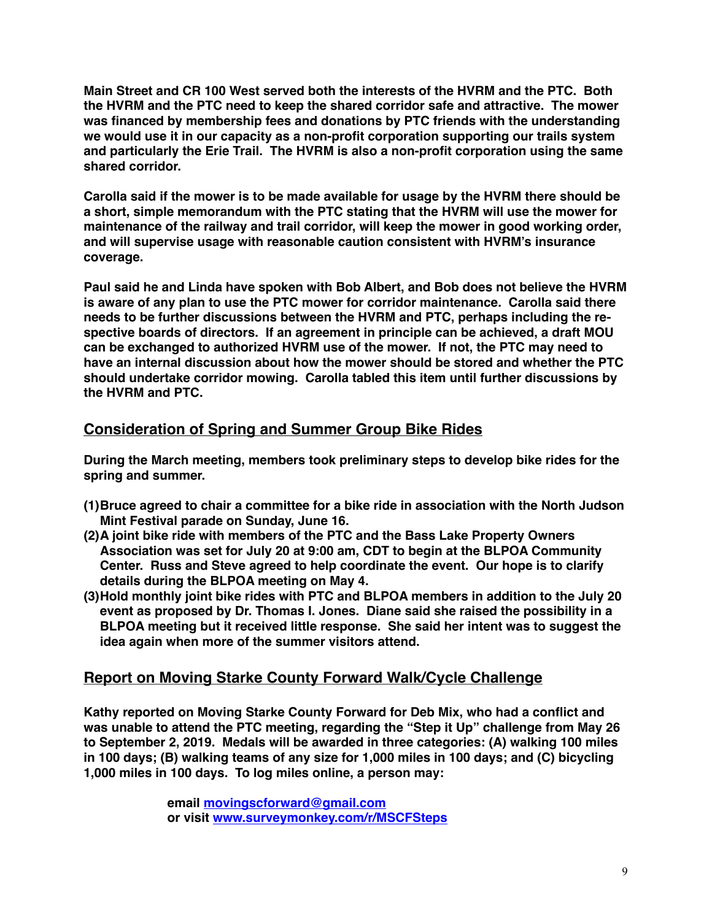**Main Street and CR 100 West served both the interests of the HVRM and the PTC. Both the HVRM and the PTC need to keep the shared corridor safe and attractive. The mower was financed by membership fees and donations by PTC friends with the understanding we would use it in our capacity as a non-profit corporation supporting our trails system and particularly the Erie Trail. The HVRM is also a non-profit corporation using the same shared corridor.**

**Carolla said if the mower is to be made available for usage by the HVRM there should be a short, simple memorandum with the PTC stating that the HVRM will use the mower for maintenance of the railway and trail corridor, will keep the mower in good working order, and will supervise usage with reasonable caution consistent with HVRM's insurance coverage.**

**Paul said he and Linda have spoken with Bob Albert, and Bob does not believe the HVRM is aware of any plan to use the PTC mower for corridor maintenance. Carolla said there needs to be further discussions between the HVRM and PTC, perhaps including the respective boards of directors. If an agreement in principle can be achieved, a draft MOU can be exchanged to authorized HVRM use of the mower. If not, the PTC may need to have an internal discussion about how the mower should be stored and whether the PTC should undertake corridor mowing. Carolla tabled this item until further discussions by the HVRM and PTC.**

#### **Consideration of Spring and Summer Group Bike Rides**

**During the March meeting, members took preliminary steps to develop bike rides for the spring and summer.** 

- **(1)Bruce agreed to chair a committee for a bike ride in association with the North Judson Mint Festival parade on Sunday, June 16.**
- **(2)A joint bike ride with members of the PTC and the Bass Lake Property Owners Association was set for July 20 at 9:00 am, CDT to begin at the BLPOA Community Center. Russ and Steve agreed to help coordinate the event. Our hope is to clarify details during the BLPOA meeting on May 4.**
- **(3)Hold monthly joint bike rides with PTC and BLPOA members in addition to the July 20 event as proposed by Dr. Thomas I. Jones. Diane said she raised the possibility in a BLPOA meeting but it received little response. She said her intent was to suggest the idea again when more of the summer visitors attend.**

## **Report on Moving Starke County Forward Walk/Cycle Challenge**

**Kathy reported on Moving Starke County Forward for Deb Mix, who had a conflict and was unable to attend the PTC meeting, regarding the "Step it Up" challenge from May 26 to September 2, 2019. Medals will be awarded in three categories: (A) walking 100 miles in 100 days; (B) walking teams of any size for 1,000 miles in 100 days; and (C) bicycling 1,000 miles in 100 days. To log miles online, a person may:**

> **email [movingscforward@gmail.com](mailto:movingscforward@gmail.com) or visit [www.surveymonkey.com/r/MSCFSteps](http://www.surveymonkey.com/r/MSCFSteps)**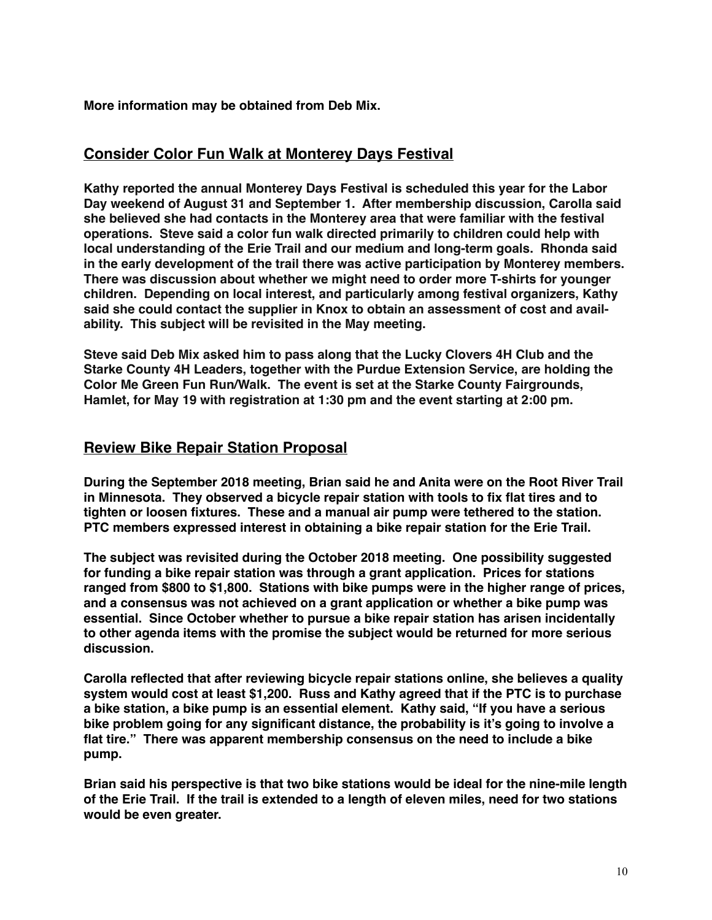**More information may be obtained from Deb Mix.**

#### **Consider Color Fun Walk at Monterey Days Festival**

**Kathy reported the annual Monterey Days Festival is scheduled this year for the Labor Day weekend of August 31 and September 1. After membership discussion, Carolla said she believed she had contacts in the Monterey area that were familiar with the festival operations. Steve said a color fun walk directed primarily to children could help with local understanding of the Erie Trail and our medium and long-term goals. Rhonda said in the early development of the trail there was active participation by Monterey members. There was discussion about whether we might need to order more T-shirts for younger children. Depending on local interest, and particularly among festival organizers, Kathy said she could contact the supplier in Knox to obtain an assessment of cost and availability. This subject will be revisited in the May meeting.**

**Steve said Deb Mix asked him to pass along that the Lucky Clovers 4H Club and the Starke County 4H Leaders, together with the Purdue Extension Service, are holding the Color Me Green Fun Run/Walk. The event is set at the Starke County Fairgrounds, Hamlet, for May 19 with registration at 1:30 pm and the event starting at 2:00 pm.**

#### **Review Bike Repair Station Proposal**

**During the September 2018 meeting, Brian said he and Anita were on the Root River Trail in Minnesota. They observed a bicycle repair station with tools to fix flat tires and to tighten or loosen fixtures. These and a manual air pump were tethered to the station. PTC members expressed interest in obtaining a bike repair station for the Erie Trail.** 

**The subject was revisited during the October 2018 meeting. One possibility suggested for funding a bike repair station was through a grant application. Prices for stations ranged from \$800 to \$1,800. Stations with bike pumps were in the higher range of prices, and a consensus was not achieved on a grant application or whether a bike pump was essential. Since October whether to pursue a bike repair station has arisen incidentally to other agenda items with the promise the subject would be returned for more serious discussion.**

**Carolla reflected that after reviewing bicycle repair stations online, she believes a quality system would cost at least \$1,200. Russ and Kathy agreed that if the PTC is to purchase a bike station, a bike pump is an essential element. Kathy said, "If you have a serious bike problem going for any significant distance, the probability is it's going to involve a flat tire." There was apparent membership consensus on the need to include a bike pump.**

**Brian said his perspective is that two bike stations would be ideal for the nine-mile length of the Erie Trail. If the trail is extended to a length of eleven miles, need for two stations would be even greater.**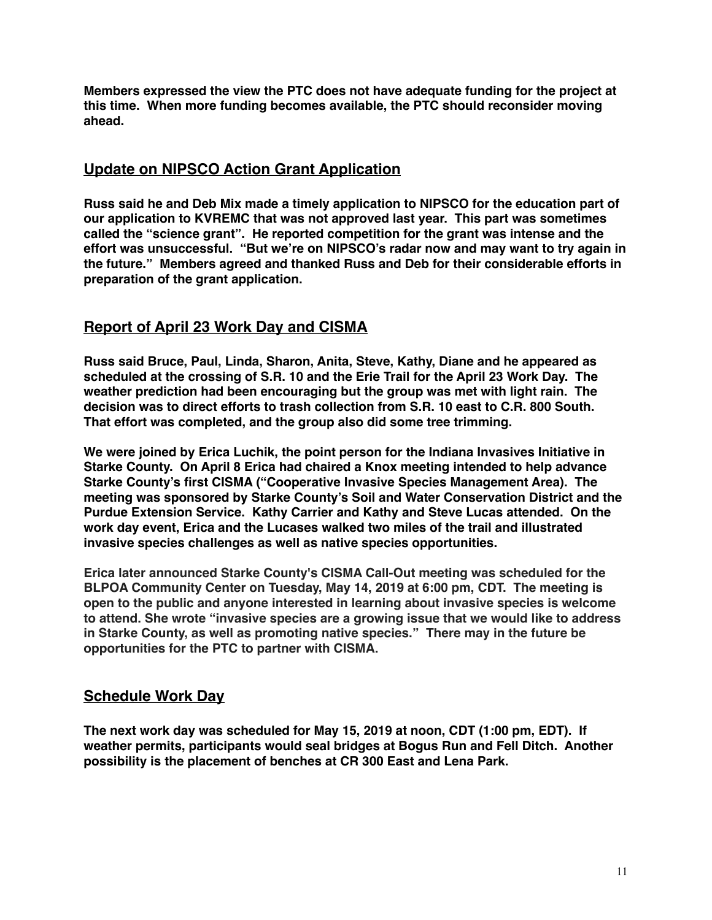**Members expressed the view the PTC does not have adequate funding for the project at this time. When more funding becomes available, the PTC should reconsider moving ahead.**

#### **Update on NIPSCO Action Grant Application**

**Russ said he and Deb Mix made a timely application to NIPSCO for the education part of our application to KVREMC that was not approved last year. This part was sometimes called the "science grant". He reported competition for the grant was intense and the effort was unsuccessful. "But we're on NIPSCO's radar now and may want to try again in the future." Members agreed and thanked Russ and Deb for their considerable efforts in preparation of the grant application.**

## **Report of April 23 Work Day and CISMA**

**Russ said Bruce, Paul, Linda, Sharon, Anita, Steve, Kathy, Diane and he appeared as scheduled at the crossing of S.R. 10 and the Erie Trail for the April 23 Work Day. The weather prediction had been encouraging but the group was met with light rain. The decision was to direct efforts to trash collection from S.R. 10 east to C.R. 800 South. That effort was completed, and the group also did some tree trimming.**

**We were joined by Erica Luchik, the point person for the Indiana Invasives Initiative in Starke County. On April 8 Erica had chaired a Knox meeting intended to help advance Starke County's first CISMA ("Cooperative Invasive Species Management Area). The meeting was sponsored by Starke County's Soil and Water Conservation District and the Purdue Extension Service. Kathy Carrier and Kathy and Steve Lucas attended. On the work day event, Erica and the Lucases walked two miles of the trail and illustrated invasive species challenges as well as native species opportunities.** 

**Erica later announced Starke County's CISMA Call-Out meeting was scheduled for the BLPOA Community Center on Tuesday, May 14, 2019 at 6:00 pm, CDT. The meeting is open to the public and anyone interested in learning about invasive species is welcome to attend. She wrote "invasive species are a growing issue that we would like to address in Starke County, as well as promoting native species." There may in the future be opportunities for the PTC to partner with CISMA.**

#### **Schedule Work Day**

**The next work day was scheduled for May 15, 2019 at noon, CDT (1:00 pm, EDT). If weather permits, participants would seal bridges at Bogus Run and Fell Ditch. Another possibility is the placement of benches at CR 300 East and Lena Park.**